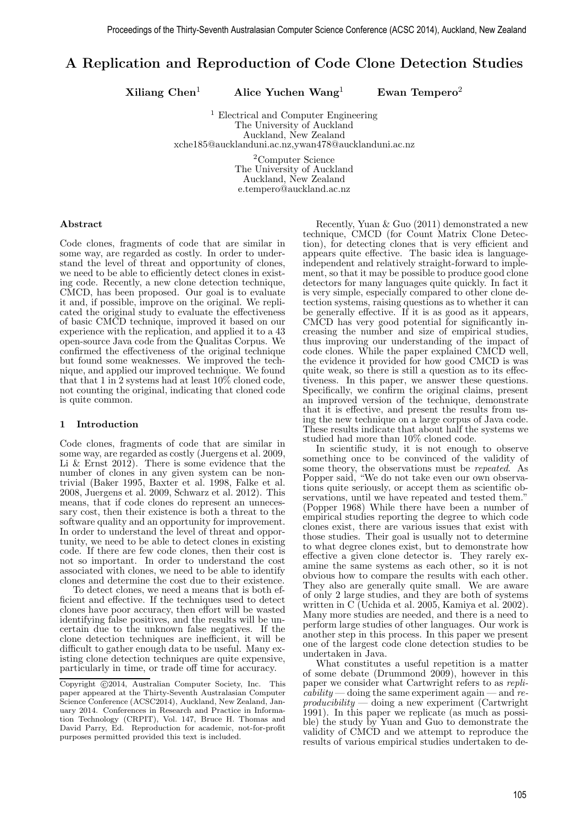# A Replication and Reproduction of Code Clone Detection Studies

 $Xiliang Chen<sup>1</sup>$  Alice Yuchen Wang<sup>1</sup> Ewan Tempero<sup>2</sup>

<sup>1</sup> Electrical and Computer Engineering The University of Auckland Auckland, New Zealand xche185@aucklanduni.ac.nz,ywan478@aucklanduni.ac.nz

> <sup>2</sup>Computer Science The University of Auckland Auckland, New Zealand e.tempero@auckland.ac.nz

#### Abstract

Code clones, fragments of code that are similar in some way, are regarded as costly. In order to understand the level of threat and opportunity of clones, we need to be able to efficiently detect clones in existing code. Recently, a new clone detection technique, CMCD, has been proposed. Our goal is to evaluate it and, if possible, improve on the original. We replicated the original study to evaluate the effectiveness of basic CMCD technique, improved it based on our experience with the replication, and applied it to a 43 open-source Java code from the Qualitas Corpus. We confirmed the effectiveness of the original technique but found some weaknesses. We improved the technique, and applied our improved technique. We found that that 1 in 2 systems had at least  $10\%$  cloned code, not counting the original, indicating that cloned code is quite common.

#### 1 Introduction

Code clones, fragments of code that are similar in some way, are regarded as costly (Juergens et al. 2009, Li & Ernst 2012). There is some evidence that the number of clones in any given system can be nontrivial (Baker 1995, Baxter et al. 1998, Falke et al. 2008, Juergens et al. 2009, Schwarz et al. 2012). This means, that if code clones do represent an unnecessary cost, then their existence is both a threat to the software quality and an opportunity for improvement. In order to understand the level of threat and opportunity, we need to be able to detect clones in existing code. If there are few code clones, then their cost is not so important. In order to understand the cost associated with clones, we need to be able to identify clones and determine the cost due to their existence.

To detect clones, we need a means that is both efficient and effective. If the techniques used to detect clones have poor accuracy, then effort will be wasted identifying false positives, and the results will be uncertain due to the unknown false negatives. If the clone detection techniques are inefficient, it will be difficult to gather enough data to be useful. Many existing clone detection techniques are quite expensive, particularly in time, or trade off time for accuracy.

Recently, Yuan & Guo (2011) demonstrated a new technique, CMCD (for Count Matrix Clone Detection), for detecting clones that is very efficient and appears quite effective. The basic idea is languageindependent and relatively straight-forward to implement, so that it may be possible to produce good clone detectors for many languages quite quickly. In fact it is very simple, especially compared to other clone detection systems, raising questions as to whether it can be generally effective. If it is as good as it appears, CMCD has very good potential for significantly increasing the number and size of empirical studies, thus improving our understanding of the impact of code clones. While the paper explained CMCD well, the evidence it provided for how good CMCD is was quite weak, so there is still a question as to its effectiveness. In this paper, we answer these questions. Specifically, we confirm the original claims, present an improved version of the technique, demonstrate that it is effective, and present the results from using the new technique on a large corpus of Java code. These results indicate that about half the systems we studied had more than 10% cloned code.

In scientific study, it is not enough to observe something once to be convinced of the validity of some theory, the observations must be *repeated*. As Popper said, "We do not take even our own observations quite seriously, or accept them as scientific observations, until we have repeated and tested them." (Popper 1968) While there have been a number of empirical studies reporting the degree to which code clones exist, there are various issues that exist with those studies. Their goal is usually not to determine to what degree clones exist, but to demonstrate how effective a given clone detector is. They rarely examine the same systems as each other, so it is not obvious how to compare the results with each other. They also are generally quite small. We are aware of only 2 large studies, and they are both of systems written in C (Uchida et al. 2005, Kamiya et al. 2002). Many more studies are needed, and there is a need to perform large studies of other languages. Our work is another step in this process. In this paper we present one of the largest code clone detection studies to be undertaken in Java.

What constitutes a useful repetition is a matter of some debate (Drummond 2009), however in this paper we consider what Cartwright refers to as repli- $\alpha$ *cability* — doing the same experiment again — and re- $\text{productibility}$  — doing a new experiment (Cartwright 1991). In this paper we replicate (as much as possible) the study by Yuan and Guo to demonstrate the validity of CMCD and we attempt to reproduce the results of various empirical studies undertaken to de-

Copyright  $\odot$ 2014, Australian Computer Society, Inc. This paper appeared at the Thirty-Seventh Australasian Computer Science Conference (ACSC2014), Auckland, New Zealand, January 2014. Conferences in Research and Practice in Information Technology (CRPIT), Vol. 147, Bruce H. Thomas and David Parry, Ed. Reproduction for academic, not-for-profit purposes permitted provided this text is included.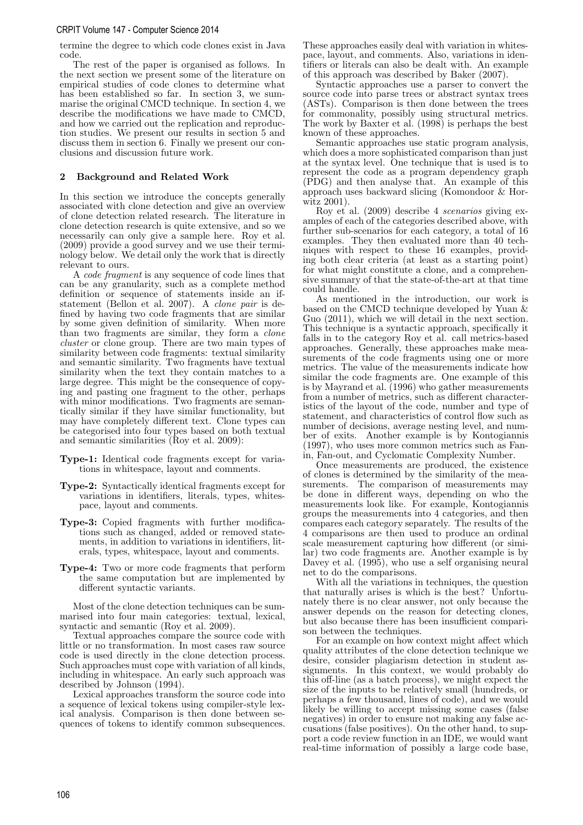#### CRPIT Volume 147 - Computer Science 2014

termine the degree to which code clones exist in Java code.

The rest of the paper is organised as follows. In the next section we present some of the literature on empirical studies of code clones to determine what has been established so far. In section 3, we summarise the original CMCD technique. In section 4, we describe the modifications we have made to CMCD, and how we carried out the replication and reproduction studies. We present our results in section 5 and discuss them in section 6. Finally we present our conclusions and discussion future work.

# 2 Background and Related Work

In this section we introduce the concepts generally associated with clone detection and give an overview of clone detection related research. The literature in clone detection research is quite extensive, and so we necessarily can only give a sample here. Roy et al. (2009) provide a good survey and we use their terminology below. We detail only the work that is directly relevant to ours.

A code fragment is any sequence of code lines that can be any granularity, such as a complete method definition or sequence of statements inside an ifstatement (Bellon et al. 2007). A clone pair is defined by having two code fragments that are similar by some given definition of similarity. When more than two fragments are similar, they form a *clone* cluster or clone group. There are two main types of similarity between code fragments: textual similarity and semantic similarity. Two fragments have textual similarity when the text they contain matches to a large degree. This might be the consequence of copying and pasting one fragment to the other, perhaps with minor modifications. Two fragments are semantically similar if they have similar functionality, but may have completely different text. Clone types can be categorised into four types based on both textual and semantic similarities (Roy et al. 2009):

- Type-1: Identical code fragments except for variations in whitespace, layout and comments.
- Type-2: Syntactically identical fragments except for variations in identifiers, literals, types, whitespace, layout and comments.
- Type-3: Copied fragments with further modifications such as changed, added or removed statements, in addition to variations in identifiers, literals, types, whitespace, layout and comments.
- Type-4: Two or more code fragments that perform the same computation but are implemented by different syntactic variants.

Most of the clone detection techniques can be summarised into four main categories: textual, lexical, syntactic and semantic (Roy et al. 2009).

Textual approaches compare the source code with little or no transformation. In most cases raw source code is used directly in the clone detection process. Such approaches must cope with variation of all kinds, including in whitespace. An early such approach was described by Johnson (1994).

Lexical approaches transform the source code into a sequence of lexical tokens using compiler-style lexical analysis. Comparison is then done between sequences of tokens to identify common subsequences.

These approaches easily deal with variation in whitespace, layout, and comments. Also, variations in identifiers or literals can also be dealt with. An example of this approach was described by Baker (2007).

Syntactic approaches use a parser to convert the source code into parse trees or abstract syntax trees (ASTs). Comparison is then done between the trees for commonality, possibly using structural metrics. The work by Baxter et al. (1998) is perhaps the best known of these approaches.

Semantic approaches use static program analysis, which does a more sophisticated comparison than just at the syntax level. One technique that is used is to represent the code as a program dependency graph (PDG) and then analyse that. An example of this approach uses backward slicing (Komondoor & Horwitz 2001).

Roy et al. (2009) describe 4 scenarios giving examples of each of the categories described above, with further sub-scenarios for each category, a total of 16 examples. They then evaluated more than 40 techniques with respect to these 16 examples, providing both clear criteria (at least as a starting point) for what might constitute a clone, and a comprehensive summary of that the state-of-the-art at that time could handle.

As mentioned in the introduction, our work is based on the CMCD technique developed by Yuan & Guo (2011), which we will detail in the next section. This technique is a syntactic approach, specifically it falls in to the category Roy et al. call metrics-based approaches. Generally, these approaches make measurements of the code fragments using one or more metrics. The value of the measurements indicate how similar the code fragments are. One example of this is by Mayrand et al. (1996) who gather measurements from a number of metrics, such as different characteristics of the layout of the code, number and type of statement, and characteristics of control flow such as number of decisions, average nesting level, and number of exits. Another example is by Kontogiannis (1997), who uses more common metrics such as Fanin, Fan-out, and Cyclomatic Complexity Number.

Once measurements are produced, the existence of clones is determined by the similarity of the measurements. The comparison of measurements may be done in different ways, depending on who the measurements look like. For example, Kontogiannis groups the measurements into 4 categories, and then compares each category separately. The results of the 4 comparisons are then used to produce an ordinal scale measurement capturing how different (or similar) two code fragments are. Another example is by Davey et al.  $(1995)$ , who use a self organising neural net to do the comparisons.

With all the variations in techniques, the question that naturally arises is which is the best? Unfortunately there is no clear answer, not only because the answer depends on the reason for detecting clones, but also because there has been insufficient comparison between the techniques.

For an example on how context might affect which quality attributes of the clone detection technique we desire, consider plagiarism detection in student assignments. In this context, we would probably do this off-line (as a batch process), we might expect the size of the inputs to be relatively small (hundreds, or perhaps a few thousand, lines of code), and we would likely be willing to accept missing some cases (false negatives) in order to ensure not making any false accusations (false positives). On the other hand, to support a code review function in an IDE, we would want real-time information of possibly a large code base,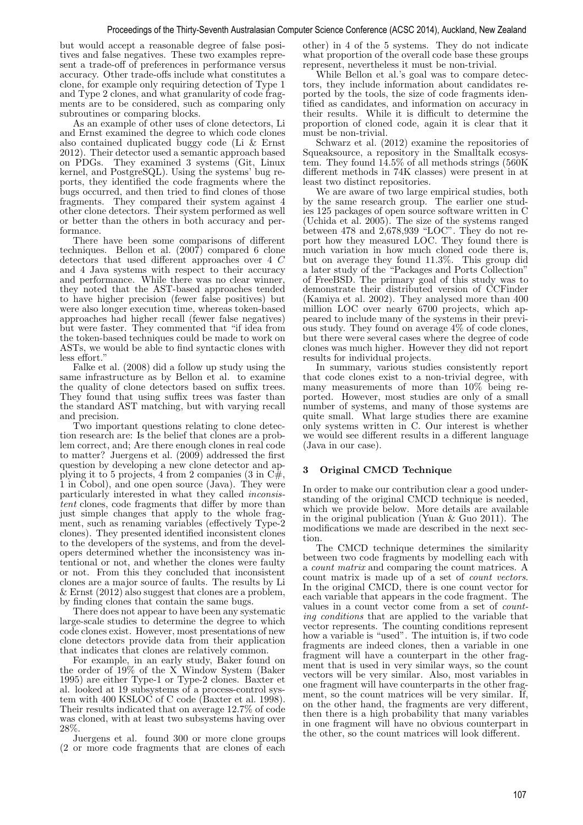but would accept a reasonable degree of false positives and false negatives. These two examples represent a trade-off of preferences in performance versus accuracy. Other trade-offs include what constitutes a clone, for example only requiring detection of Type 1 and Type 2 clones, and what granularity of code fragments are to be considered, such as comparing only subroutines or comparing blocks.

As an example of other uses of clone detectors, Li and Ernst examined the degree to which code clones also contained duplicated buggy code (Li & Ernst 2012). Their detector used a semantic approach based<br>on PDGs. They examined 3 systems (Git. Linux They examined 3 systems (Git, Linux kernel, and PostgreSQL). Using the systems' bug reports, they identified the code fragments where the bugs occurred, and then tried to find clones of those fragments. They compared their system against 4 other clone detectors. Their system performed as well or better than the others in both accuracy and performance.

There have been some comparisons of different techniques. Bellon et al. (2007) compared 6 clone detectors that used different approaches over 4 C and 4 Java systems with respect to their accuracy and performance. While there was no clear winner, they noted that the AST-based approaches tended to have higher precision (fewer false positives) but were also longer execution time, whereas token-based approaches had higher recall (fewer false negatives) but were faster. They commented that "if idea from the token-based techniques could be made to work on ASTs, we would be able to find syntactic clones with less effort."

Falke et al. (2008) did a follow up study using the same infrastructure as by Bellon et al. to examine the quality of clone detectors based on suffix trees. They found that using suffix trees was faster than the standard AST matching, but with varying recall and precision.

Two important questions relating to clone detection research are: Is the belief that clones are a problem correct, and; Are there enough clones in real code to matter? Juergens et al. (2009) addressed the first question by developing a new clone detector and applying it to 5 projects, 4 from 2 companies (3 in  $C\#$ , 1 in Cobol), and one open source (Java). They were particularly interested in what they called inconsistent clones, code fragments that differ by more than just simple changes that apply to the whole fragment, such as renaming variables (effectively Type-2 clones). They presented identified inconsistent clones to the developers of the systems, and from the developers determined whether the inconsistency was intentional or not, and whether the clones were faulty or not. From this they concluded that inconsistent clones are a major source of faults. The results by Li & Ernst (2012) also suggest that clones are a problem, by finding clones that contain the same bugs.

There does not appear to have been any systematic large-scale studies to determine the degree to which code clones exist. However, most presentations of new clone detectors provide data from their application that indicates that clones are relatively common.

For example, in an early study, Baker found on the order of 19% of the X Window System (Baker 1995) are either Type-1 or Type-2 clones. Baxter et al. looked at 19 subsystems of a process-control system with 400 KSLOC of C code (Baxter et al. 1998). Their results indicated that on average 12.7% of code was cloned, with at least two subsystems having over 28%.

Juergens et al. found 300 or more clone groups (2 or more code fragments that are clones of each

other) in 4 of the 5 systems. They do not indicate what proportion of the overall code base these groups represent, nevertheless it must be non-trivial.

While Bellon et al.'s goal was to compare detectors, they include information about candidates reported by the tools, the size of code fragments identified as candidates, and information on accuracy in their results. While it is difficult to determine the proportion of cloned code, again it is clear that it must be non-trivial.

Schwarz et al. (2012) examine the repositories of Squeaksource, a repository in the Smalltalk ecosystem. They found  $14.5\%$  of all methods strings  $(560K)$ different methods in 74K classes) were present in at least two distinct repositories.

We are aware of two large empirical studies, both by the same research group. The earlier one studies 125 packages of open source software written in C (Uchida et al. 2005). The size of the systems ranged between 478 and  $2,678,939$  "LOC". They do not report how they measured LOC. They found there is much variation in how much cloned code there is, but on average they found 11.3%. This group did a later study of the "Packages and Ports Collection" of FreeBSD. The primary goal of this study was to demonstrate their distributed version of CCFinder (Kamiya et al. 2002). They analysed more than 400 million LOC over nearly 6700 projects, which appeared to include many of the systems in their previous study. They found on average 4% of code clones, but there were several cases where the degree of code clones was much higher. However they did not report results for individual projects.

In summary, various studies consistently report that code clones exist to a non-trivial degree, with many measurements of more than 10% being reported. However, most studies are only of a small number of systems, and many of those systems are quite small. What large studies there are examine only systems written in C. Our interest is whether we would see different results in a different language (Java in our case).

# 3 Original CMCD Technique

In order to make our contribution clear a good understanding of the original CMCD technique is needed, which we provide below. More details are available in the original publication (Yuan & Guo 2011). The modifications we made are described in the next section.

The CMCD technique determines the similarity between two code fragments by modelling each with a count matrix and comparing the count matrices. A count matrix is made up of a set of count vectors. In the original CMCD, there is one count vector for each variable that appears in the code fragment. The values in a count vector come from a set of counting conditions that are applied to the variable that vector represents. The counting conditions represent how a variable is "used". The intuition is, if two code fragments are indeed clones, then a variable in one fragment will have a counterpart in the other fragment that is used in very similar ways, so the count vectors will be very similar. Also, most variables in one fragment will have counterparts in the other fragment, so the count matrices will be very similar. If, on the other hand, the fragments are very different, then there is a high probability that many variables in one fragment will have no obvious counterpart in the other, so the count matrices will look different.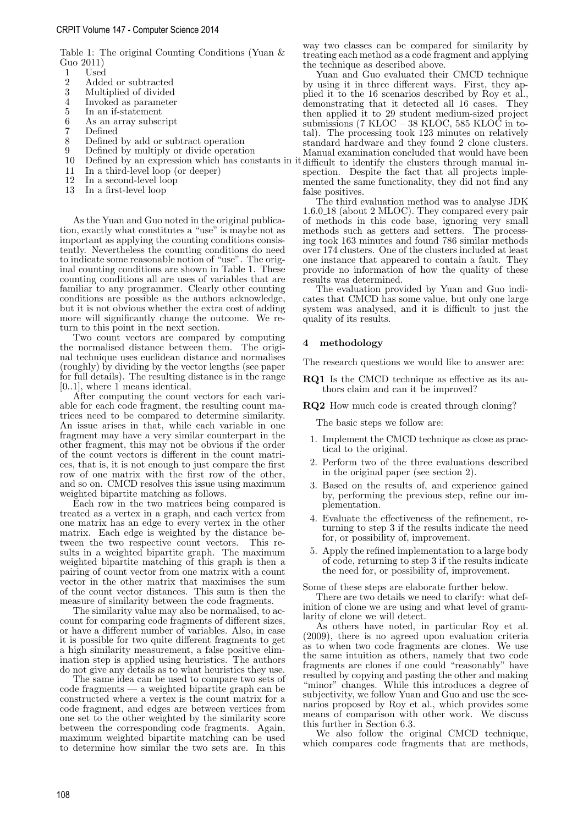Table 1: The original Counting Conditions (Yuan & Guo 2011)

- $\frac{1}{2}$  Used
- 2 Added or subtracted<br>3 Multiplied of divided
- 3 Multiplied of divided<br>4 Invoked as parameter
- 4 Invoked as parameter
- 5 In an if-statement<br>6 As an array subsc:
- As an array subscript
- 7 Defined
- 8 Defined by add or subtract operation<br>9 Defined by multiply or divide operation
- 9 Defined by multiply or divide operation
- 
- 11 In a third-level loop (or deeper)<br>12 In a second-level loop
- 12 In a second-level loop<br>13 In a first-level loop
- In a first-level loop

As the Yuan and Guo noted in the original publication, exactly what constitutes a "use" is maybe not as important as applying the counting conditions consistently. Nevertheless the counting conditions do need to indicate some reasonable notion of "use". The original counting conditions are shown in Table 1. These counting conditions all are uses of variables that are familiar to any programmer. Clearly other counting conditions are possible as the authors acknowledge, but it is not obvious whether the extra cost of adding more will significantly change the outcome. We return to this point in the next section.

Two count vectors are compared by computing the normalised distance between them. The original technique uses euclidean distance and normalises (roughly) by dividing by the vector lengths (see paper for full details). The resulting distance is in the range [0..1], where 1 means identical.

After computing the count vectors for each variable for each code fragment, the resulting count matrices need to be compared to determine similarity. An issue arises in that, while each variable in one fragment may have a very similar counterpart in the other fragment, this may not be obvious if the order of the count vectors is different in the count matrices, that is, it is not enough to just compare the first row of one matrix with the first row of the other, and so on. CMCD resolves this issue using maximum weighted bipartite matching as follows.

Each row in the two matrices being compared is treated as a vertex in a graph, and each vertex from one matrix has an edge to every vertex in the other matrix. Each edge is weighted by the distance between the two respective count vectors. This results in a weighted bipartite graph. The maximum weighted bipartite matching of this graph is then a pairing of count vector from one matrix with a count vector in the other matrix that maximises the sum of the count vector distances. This sum is then the measure of similarity between the code fragments.

The similarity value may also be normalised, to account for comparing code fragments of different sizes, or have a different number of variables. Also, in case it is possible for two quite different fragments to get a high similarity measurement, a false positive elimination step is applied using heuristics. The authors do not give any details as to what heuristics they use.

The same idea can be used to compare two sets of code fragments — a weighted bipartite graph can be constructed where a vertex is the count matrix for a code fragment, and edges are between vertices from one set to the other weighted by the similarity score between the corresponding code fragments. Again, maximum weighted bipartite matching can be used to determine how similar the two sets are. In this

way two classes can be compared for similarity by treating each method as a code fragment and applying the technique as described above.

10 Defined by an expression which has constants in it difficult to identify the clusters through manual in-Yuan and Guo evaluated their CMCD technique by using it in three different ways. First, they applied it to the 16 scenarios described by Roy et al., demonstrating that it detected all 16 cases. They then applied it to 29 student medium-sized project submissions (7 KLOC – 38 KLOC, 585 KLOC in total). The processing took 123 minutes on relatively standard hardware and they found 2 clone clusters. Manual examination concluded that would have been spection. Despite the fact that all projects implemented the same functionality, they did not find any false positives.

> The third evaluation method was to analyse JDK 1.6.0 18 (about 2 MLOC). They compared every pair of methods in this code base, ignoring very small methods such as getters and setters. The processing took 163 minutes and found 786 similar methods over 174 clusters. One of the clusters included at least one instance that appeared to contain a fault. They provide no information of how the quality of these results was determined.

> The evaluation provided by Yuan and Guo indicates that CMCD has some value, but only one large system was analysed, and it is difficult to just the quality of its results.

### 4 methodology

The research questions we would like to answer are:

RQ1 Is the CMCD technique as effective as its authors claim and can it be improved?

RQ2 How much code is created through cloning?

The basic steps we follow are:

- 1. Implement the CMCD technique as close as practical to the original.
- 2. Perform two of the three evaluations described in the original paper (see section 2).
- 3. Based on the results of, and experience gained by, performing the previous step, refine our implementation.
- 4. Evaluate the effectiveness of the refinement, returning to step 3 if the results indicate the need for, or possibility of, improvement.
- 5. Apply the refined implementation to a large body of code, returning to step 3 if the results indicate the need for, or possibility of, improvement.

Some of these steps are elaborate further below.

There are two details we need to clarify: what definition of clone we are using and what level of granularity of clone we will detect.

As others have noted, in particular Roy et al. (2009), there is no agreed upon evaluation criteria as to when two code fragments are clones. We use the same intuition as others, namely that two code fragments are clones if one could "reasonably" have resulted by copying and pasting the other and making "minor" changes. While this introduces a degree of subjectivity, we follow Yuan and Guo and use the scenarios proposed by Roy et al., which provides some means of comparison with other work. We discuss this further in Section 6.3.

We also follow the original CMCD technique, which compares code fragments that are methods,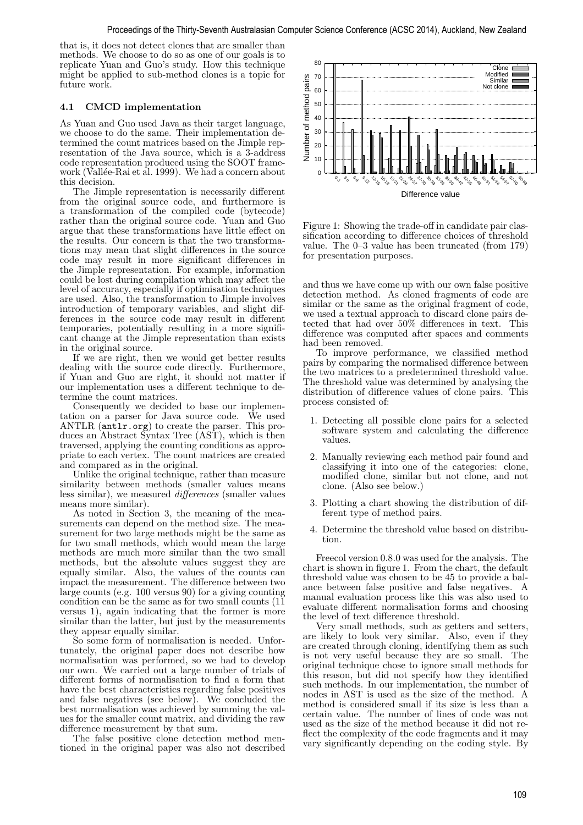that is, it does not detect clones that are smaller than methods. We choose to do so as one of our goals is to replicate Yuan and Guo's study. How this technique might be applied to sub-method clones is a topic for future work.

# 4.1 CMCD implementation

As Yuan and Guo used Java as their target language, we choose to do the same. Their implementation determined the count matrices based on the Jimple representation of the Java source, which is a 3-address code representation produced using the SOOT framework (Vallée-Rai et al. 1999). We had a concern about this decision.

The Jimple representation is necessarily different from the original source code, and furthermore is a transformation of the compiled code (bytecode) rather than the original source code. Yuan and Guo argue that these transformations have little effect on the results. Our concern is that the two transformations may mean that slight differences in the source code may result in more significant differences in the Jimple representation. For example, information could be lost during compilation which may affect the level of accuracy, especially if optimisation techniques are used. Also, the transformation to Jimple involves introduction of temporary variables, and slight differences in the source code may result in different temporaries, potentially resulting in a more significant change at the Jimple representation than exists in the original source.

If we are right, then we would get better results dealing with the source code directly. Furthermore, if Yuan and Guo are right, it should not matter if our implementation uses a different technique to determine the count matrices.

Consequently we decided to base our implementation on a parser for Java source code. We used ANTLR (antlr.org) to create the parser. This produces an Abstract Syntax Tree (AST), which is then traversed, applying the counting conditions as appropriate to each vertex. The count matrices are created and compared as in the original.

Unlike the original technique, rather than measure similarity between methods (smaller values means less similar), we measured differences (smaller values means more similar).

As noted in Section 3, the meaning of the measurements can depend on the method size. The measurement for two large methods might be the same as for two small methods, which would mean the large methods are much more similar than the two small methods, but the absolute values suggest they are equally similar. Also, the values of the counts can impact the measurement. The difference between two large counts (e.g. 100 versus 90) for a giving counting condition can be the same as for two small counts (11 versus 1), again indicating that the former is more similar than the latter, but just by the measurements they appear equally similar.

So some form of normalisation is needed. Unfortunately, the original paper does not describe how normalisation was performed, so we had to develop our own. We carried out a large number of trials of different forms of normalisation to find a form that have the best characteristics regarding false positives and false negatives (see below). We concluded the best normalisation was achieved by summing the values for the smaller count matrix, and dividing the raw difference measurement by that sum.

The false positive clone detection method mentioned in the original paper was also not described



Figure 1: Showing the trade-off in candidate pair classification according to difference choices of threshold value. The 0–3 value has been truncated (from 179) for presentation purposes.

and thus we have come up with our own false positive detection method. As cloned fragments of code are similar or the same as the original fragment of code, we used a textual approach to discard clone pairs detected that had over 50% differences in text. This difference was computed after spaces and comments had been removed.

To improve performance, we classified method pairs by comparing the normalised difference between the two matrices to a predetermined threshold value. The threshold value was determined by analysing the distribution of difference values of clone pairs. This process consisted of:

- 1. Detecting all possible clone pairs for a selected software system and calculating the difference values.
- 2. Manually reviewing each method pair found and classifying it into one of the categories: clone, modified clone, similar but not clone, and not clone. (Also see below.)
- 3. Plotting a chart showing the distribution of different type of method pairs.
- 4. Determine the threshold value based on distribution.

Freecol version 0.8.0 was used for the analysis. The chart is shown in figure 1. From the chart, the default threshold value was chosen to be 45 to provide a balance between false positive and false negatives. A manual evaluation process like this was also used to evaluate different normalisation forms and choosing the level of text difference threshold.

Very small methods, such as getters and setters, are likely to look very similar. Also, even if they are created through cloning, identifying them as such is not very useful because they are so small. The original technique chose to ignore small methods for this reason, but did not specify how they identified such methods. In our implementation, the number of nodes in AST is used as the size of the method. A method is considered small if its size is less than a certain value. The number of lines of code was not used as the size of the method because it did not reflect the complexity of the code fragments and it may vary significantly depending on the coding style. By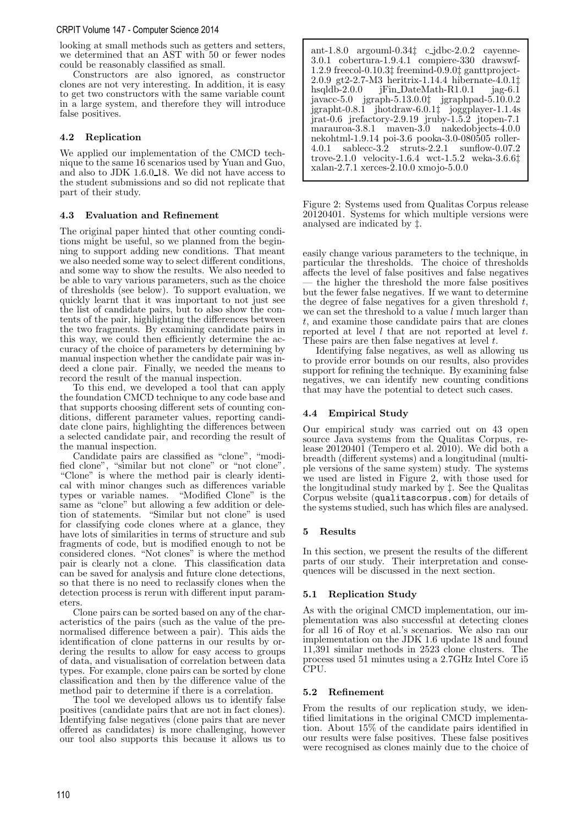### CRPIT Volume 147 - Computer Science 2014

looking at small methods such as getters and setters, we determined that an AST with 50 or fewer nodes could be reasonably classified as small.

Constructors are also ignored, as constructor clones are not very interesting. In addition, it is easy to get two constructors with the same variable count in a large system, and therefore they will introduce false positives.

# 4.2 Replication

We applied our implementation of the CMCD technique to the same 16 scenarios used by Yuan and Guo, and also to JDK 1.6.0 18. We did not have access to the student submissions and so did not replicate that part of their study.

# 4.3 Evaluation and Refinement

The original paper hinted that other counting conditions might be useful, so we planned from the beginning to support adding new conditions. That meant we also needed some way to select different conditions, and some way to show the results. We also needed to be able to vary various parameters, such as the choice of thresholds (see below). To support evaluation, we quickly learnt that it was important to not just see the list of candidate pairs, but to also show the contents of the pair, highlighting the differences between the two fragments. By examining candidate pairs in this way, we could then efficiently determine the accuracy of the choice of parameters by determining by manual inspection whether the candidate pair was indeed a clone pair. Finally, we needed the means to record the result of the manual inspection.

To this end, we developed a tool that can apply the foundation CMCD technique to any code base and that supports choosing different sets of counting conditions, different parameter values, reporting candidate clone pairs, highlighting the differences between a selected candidate pair, and recording the result of the manual inspection.

Candidate pairs are classified as "clone", "modified clone", "similar but not clone" or "not clone". "Clone" is where the method pair is clearly identical with minor changes such as differences variable types or variable names. same as "clone" but allowing a few addition or deletion of statements. "Similar but not clone" is used for classifying code clones where at a glance, they have lots of similarities in terms of structure and sub fragments of code, but is modified enough to not be considered clones. "Not clones" is where the method pair is clearly not a clone. This classification data can be saved for analysis and future clone detections, so that there is no need to reclassify clones when the detection process is rerun with different input parameters.

Clone pairs can be sorted based on any of the characteristics of the pairs (such as the value of the prenormalised difference between a pair). This aids the identification of clone patterns in our results by ordering the results to allow for easy access to groups of data, and visualisation of correlation between data types. For example, clone pairs can be sorted by clone classification and then by the difference value of the method pair to determine if there is a correlation.

The tool we developed allows us to identify false positives (candidate pairs that are not in fact clones). Identifying false negatives (clone pairs that are never offered as candidates) is more challenging, however our tool also supports this because it allows us to

ant-1.8.0 argouml-0.34‡ c jdbc-2.0.2 cayenne-3.0.1 cobertura-1.9.4.1 compiere-330 drawswf-1.2.9 freecol-0.10.3‡ freemind-0.9.0‡ ganttproject-2.0.9 gt2-2.7-M3 heritrix-1.14.4 hibernate-4.0.1‡ jFin DateMath-R1.0.1 jag-6.1 javacc-5.0 jgraph-5.13.0.0‡ jgraphpad-5.10.0.2 jgrapht-0.8.1 jhotdraw-6.0.1‡ joggplayer-1.1.4s jrat-0.6 jrefactory-2.9.19 jruby-1.5.2 jtopen-7.1 marauroa-3.8.1 maven-3.0 nakedobjects-4.0.0 nekohtml-1.9.14 poi-3.6 pooka-3.0-080505 roller-4.0.1 sablecc-3.2 struts-2.2.1 sunflow-0.07.2 trove-2.1.0 velocity-1.6.4 wct-1.5.2 weka-3.6.6‡ xalan-2.7.1 xerces-2.10.0 xmojo-5.0.0

Figure 2: Systems used from Qualitas Corpus release 20120401. Systems for which multiple versions were analysed are indicated by ‡.

easily change various parameters to the technique, in particular the thresholds. The choice of thresholds affects the level of false positives and false negatives the higher the threshold the more false positives but the fewer false negatives. If we want to determine the degree of false negatives for a given threshold  $t$ , we can set the threshold to a value  $l$  much larger than t, and examine those candidate pairs that are clones reported at level  $l$  that are not reported at level  $t$ . These pairs are then false negatives at level  $t$ .

Identifying false negatives, as well as allowing us to provide error bounds on our results, also provides support for refining the technique. By examining false negatives, we can identify new counting conditions that may have the potential to detect such cases.

# 4.4 Empirical Study

Our empirical study was carried out on 43 open source Java systems from the Qualitas Corpus, release  $2012040$ <sup> $\acute{1}$ </sup> (Tempero et al. 2010). We did both a breadth (different systems) and a longitudinal (multiple versions of the same system) study. The systems we used are listed in Figure 2, with those used for the longitudinal study marked by ‡. See the Qualitas Corpus website (qualitascorpus.com) for details of the systems studied, such has which files are analysed.

## 5 Results

In this section, we present the results of the different parts of our study. Their interpretation and consequences will be discussed in the next section.

# 5.1 Replication Study

As with the original CMCD implementation, our implementation was also successful at detecting clones for all 16 of Roy et al.'s scenarios. We also ran our implementation on the JDK 1.6 update 18 and found 11,391 similar methods in 2523 clone clusters. The process used 51 minutes using a 2.7GHz Intel Core i5 CPU.

## 5.2 Refinement

From the results of our replication study, we identified limitations in the original CMCD implementation. About 15% of the candidate pairs identified in our results were false positives. These false positives were recognised as clones mainly due to the choice of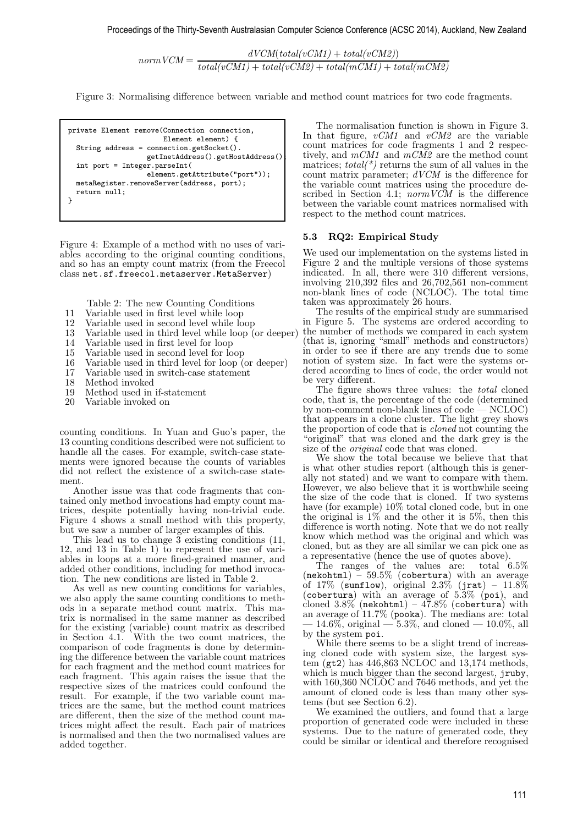$normVCM = \frac{dVCM(total(vCM1) + total(vCM2))}{dt}$  $total(vCM1) + total(vCM2) + total(mCM1) + total(mCM2)$ 

Figure 3: Normalising difference between variable and method count matrices for two code fragments.

private Element remove(Connection connection, Element element) { String address = connection.getSocket(). getInetAddress().getHostAddress(); int port = Integer.parseInt( element.getAttribute("port")); metaRegister.removeServer(address, port); return null; }

Figure 4: Example of a method with no uses of variables according to the original counting conditions, and so has an empty count matrix (from the Freecol class net.sf.freecol.metaserver.MetaServer)

Table 2: The new Counting Conditions

- 11 Variable used in first level while loop
- 12 Variable used in second level while loop
- 13 Variable used in third level while loop (or deeper)
- 14 Variable used in first level for loop
- 15 Variable used in second level for loop
- 16 Variable used in third level for loop (or deeper)
- 17 Variable used in switch-case statement<br>18 Method invoked
- 
- 18 Method invoked<br>19 Method used in 19 Method used in if-statement<br>20 Variable invoked on
- Variable invoked on

counting conditions. In Yuan and Guo's paper, the 13 counting conditions described were not sufficient to handle all the cases. For example, switch-case statements were ignored because the counts of variables did not reflect the existence of a switch-case statement.

Another issue was that code fragments that contained only method invocations had empty count matrices, despite potentially having non-trivial code. Figure 4 shows a small method with this property, but we saw a number of larger examples of this.

This lead us to change  $\overline{3}$  existing conditions  $(11, 1)$ 12, and 13 in Table 1) to represent the use of variables in loops at a more fined-grained manner, and added other conditions, including for method invocation. The new conditions are listed in Table 2.

As well as new counting conditions for variables, we also apply the same counting conditions to methods in a separate method count matrix. This matrix is normalised in the same manner as described for the existing (variable) count matrix as described in Section 4.1. With the two count matrices, the comparison of code fragments is done by determining the difference between the variable count matrices for each fragment and the method count matrices for each fragment. This again raises the issue that the respective sizes of the matrices could confound the result. For example, if the two variable count matrices are the same, but the method count matrices are different, then the size of the method count matrices might affect the result. Each pair of matrices is normalised and then the two normalised values are added together.

The normalisation function is shown in Figure 3. In that figure,  $vCM1$  and  $vCM2$  are the variable count matrices for code fragments 1 and 2 respectively, and  $mCM1$  and  $mCM2$  are the method count matrices;  $total(*)$  returns the sum of all values in the count matrix parameter; dVCM is the difference for the variable count matrices using the procedure described in Section 4.1; *normVCM* is the difference between the variable count matrices normalised with respect to the method count matrices.

### 5.3 RQ2: Empirical Study

We used our implementation on the systems listed in Figure 2 and the multiple versions of those systems indicated. In all, there were 310 different versions, involving 210,392 files and 26,702,561 non-comment non-blank lines of code (NCLOC). The total time taken was approximately 26 hours.

The results of the empirical study are summarised in Figure 5. The systems are ordered according to the number of methods we compared in each system (that is, ignoring "small" methods and constructors) in order to see if there are any trends due to some notion of system size. In fact were the systems ordered according to lines of code, the order would not be very different.

The figure shows three values: the *total* cloned code, that is, the percentage of the code (determined by non-comment non-blank lines of code — NCLOC) that appears in a clone cluster. The light grey shows the proportion of code that is cloned not counting the "original" that was cloned and the dark grey is the size of the *original* code that was cloned.

We show the total because we believe that that is what other studies report (although this is generally not stated) and we want to compare with them. However, we also believe that it is worthwhile seeing the size of the code that is cloned. If two systems have (for example) 10% total cloned code, but in one the original is  $1\%$  and the other it is 5\%, then this difference is worth noting. Note that we do not really know which method was the original and which was cloned, but as they are all similar we can pick one as a representative (hence the use of quotes above).

The ranges of the values are: total 6.5%  $(nekohtm1) - 59.5\%$  (cobertura) with an average of 17% (sunflow), original 2.3% (jrat) -  $11.8\%$ (cobertura) with an average of  $5.3\%$  (poi), and cloned  $3.8\%$  (nekohtml) –  $47.8\%$  (cobertura) with an average of 11.7% (pooka). The medians are: total  $-14.6\%$ , original  $-5.3\%$ , and cloned  $-10.0\%$ , all by the system poi.

While there seems to be a slight trend of increasing cloned code with system size, the largest system ( $gt2$ ) has 446,863 NCLOC and 13,174 methods, which is much bigger than the second largest, jruby, with 160,360 NCLOC and 7646 methods, and yet the amount of cloned code is less than many other systems (but see Section 6.2).

We examined the outliers, and found that a large proportion of generated code were included in these systems. Due to the nature of generated code, they could be similar or identical and therefore recognised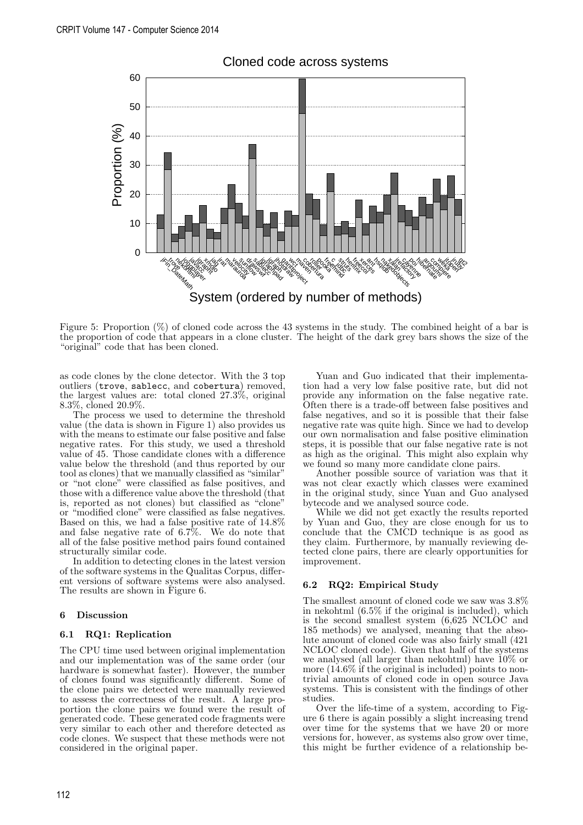

# Cloned code across systems

Figure 5: Proportion (%) of cloned code across the 43 systems in the study. The combined height of a bar is the proportion of code that appears in a clone cluster. The height of the dark grey bars shows the size of the "original" code that has been cloned.

as code clones by the clone detector. With the 3 top outliers (trove, sablecc, and cobertura) removed, the largest values are: total cloned 27.3%, original 8.3%, cloned 20.9%.

The process we used to determine the threshold value (the data is shown in Figure 1) also provides us with the means to estimate our false positive and false negative rates. For this study, we used a threshold value of 45. Those candidate clones with a difference value below the threshold (and thus reported by our tool as clones) that we manually classified as "similar" or "not clone" were classified as false positives, and those with a difference value above the threshold (that is, reported as not clones) but classified as "clone" or "modified clone" were classified as false negatives. Based on this, we had a false positive rate of 14.8% and false negative rate of 6.7%. We do note that all of the false positive method pairs found contained structurally similar code.

In addition to detecting clones in the latest version of the software systems in the Qualitas Corpus, different versions of software systems were also analysed. The results are shown in Figure 6.

#### 6 Discussion

### 6.1 RQ1: Replication

The CPU time used between original implementation and our implementation was of the same order (our hardware is somewhat faster). However, the number of clones found was significantly different. Some of the clone pairs we detected were manually reviewed to assess the correctness of the result. A large proportion the clone pairs we found were the result of generated code. These generated code fragments were very similar to each other and therefore detected as code clones. We suspect that these methods were not considered in the original paper.

Yuan and Guo indicated that their implementation had a very low false positive rate, but did not provide any information on the false negative rate. Often there is a trade-off between false positives and false negatives, and so it is possible that their false negative rate was quite high. Since we had to develop our own normalisation and false positive elimination steps, it is possible that our false negative rate is not as high as the original. This might also explain why we found so many more candidate clone pairs.

Another possible source of variation was that it was not clear exactly which classes were examined in the original study, since Yuan and Guo analysed bytecode and we analysed source code.

While we did not get exactly the results reported by Yuan and Guo, they are close enough for us to conclude that the CMCD technique is as good as they claim. Furthermore, by manually reviewing detected clone pairs, there are clearly opportunities for improvement.

## 6.2 RQ2: Empirical Study

The smallest amount of cloned code we saw was 3.8% in nekohtml (6.5% if the original is included), which is the second smallest system (6,625 NCLOC and 185 methods) we analysed, meaning that the absolute amount of cloned code was also fairly small (421 NCLOC cloned code). Given that half of the systems we analysed (all larger than nekohtml) have  $10\%$  or more (14.6% if the original is included) points to nontrivial amounts of cloned code in open source Java systems. This is consistent with the findings of other studies.

Over the life-time of a system, according to Figure 6 there is again possibly a slight increasing trend over time for the systems that we have 20 or more versions for, however, as systems also grow over time, this might be further evidence of a relationship be-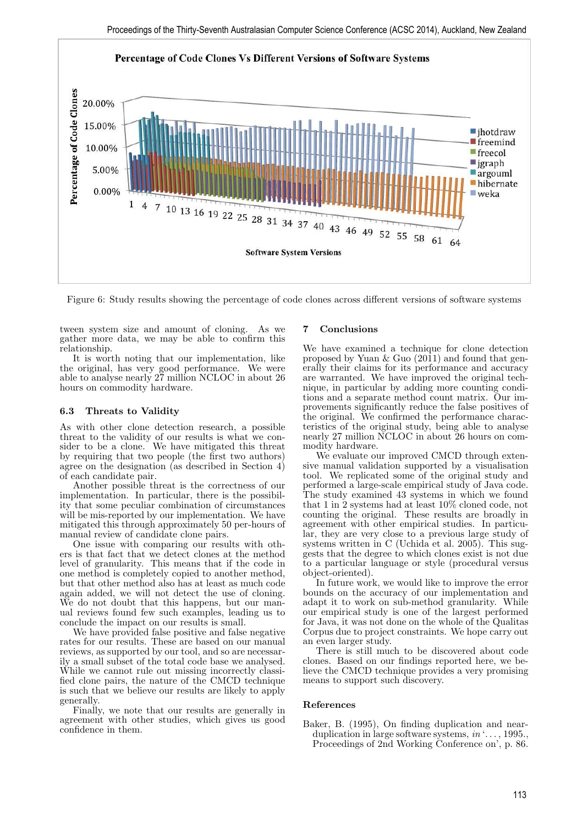

Figure 6: Study results showing the percentage of code clones across different versions of software systems

tween system size and amount of cloning. As we gather more data, we may be able to confirm this relationship.

It is worth noting that our implementation, like the original, has very good performance. We were able to analyse nearly 27 million NCLOC in about 26 hours on commodity hardware.

# 6.3 Threats to Validity

As with other clone detection research, a possible threat to the validity of our results is what we consider to be a clone. We have mitigated this threat by requiring that two people (the first two authors) agree on the designation (as described in Section 4) of each candidate pair.

Another possible threat is the correctness of our implementation. In particular, there is the possibility that some peculiar combination of circumstances will be mis-reported by our implementation. We have mitigated this through approximately 50 per-hours of manual review of candidate clone pairs.

One issue with comparing our results with others is that fact that we detect clones at the method level of granularity. This means that if the code in one method is completely copied to another method, but that other method also has at least as much code again added, we will not detect the use of cloning. We do not doubt that this happens, but our manual reviews found few such examples, leading us to conclude the impact on our results is small.

We have provided false positive and false negative rates for our results. These are based on our manual reviews, as supported by our tool, and so are necessarily a small subset of the total code base we analysed. While we cannot rule out missing incorrectly classified clone pairs, the nature of the CMCD technique is such that we believe our results are likely to apply generally.

Finally, we note that our results are generally in agreement with other studies, which gives us good confidence in them.

## 7 Conclusions

We have examined a technique for clone detection proposed by Yuan & Guo  $(20\overline{1}1)$  and found that generally their claims for its performance and accuracy are warranted. We have improved the original technique, in particular by adding more counting conditions and a separate method count matrix. Our improvements significantly reduce the false positives of the original. We confirmed the performance characteristics of the original study, being able to analyse nearly 27 million NCLOC in about 26 hours on commodity hardware.

We evaluate our improved CMCD through extensive manual validation supported by a visualisation tool. We replicated some of the original study and performed a large-scale empirical study of Java code. The study examined 43 systems in which we found that 1 in 2 systems had at least 10% cloned code, not counting the original. These results are broadly in agreement with other empirical studies. In particular, they are very close to a previous large study of systems written in C (Uchida et al. 2005). This suggests that the degree to which clones exist is not due to a particular language or style (procedural versus object-oriented).

In future work, we would like to improve the error bounds on the accuracy of our implementation and adapt it to work on sub-method granularity. While our empirical study is one of the largest performed for Java, it was not done on the whole of the Qualitas Corpus due to project constraints. We hope carry out an even larger study.

There is still much to be discovered about code clones. Based on our findings reported here, we believe the CMCD technique provides a very promising means to support such discovery.

## References

Baker, B. (1995), On finding duplication and nearduplication in large software systems,  $in \dots$ , 1995. Proceedings of 2nd Working Conference on', p. 86.